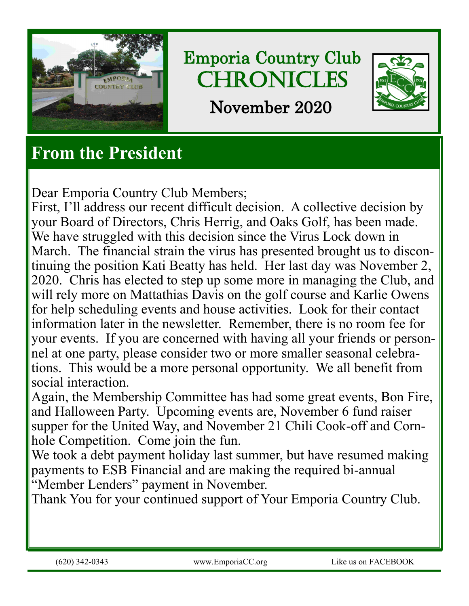

Emporia Country Club **CHRONICLES** November 2020



# **From the President**

Dear Emporia Country Club Members;

First, I'll address our recent difficult decision. A collective decision by your Board of Directors, Chris Herrig, and Oaks Golf, has been made. We have struggled with this decision since the Virus Lock down in March. The financial strain the virus has presented brought us to discontinuing the position Kati Beatty has held. Her last day was November 2, 2020. Chris has elected to step up some more in managing the Club, and will rely more on Mattathias Davis on the golf course and Karlie Owens for help scheduling events and house activities. Look for their contact information later in the newsletter. Remember, there is no room fee for your events. If you are concerned with having all your friends or personnel at one party, please consider two or more smaller seasonal celebrations. This would be a more personal opportunity. We all benefit from social interaction.

Again, the Membership Committee has had some great events, Bon Fire, and Halloween Party. Upcoming events are, November 6 fund raiser supper for the United Way, and November 21 Chili Cook-off and Cornhole Competition. Come join the fun.

We took a debt payment holiday last summer, but have resumed making payments to ESB Financial and are making the required bi-annual "Member Lenders" payment in November.

Thank You for your continued support of Your Emporia Country Club.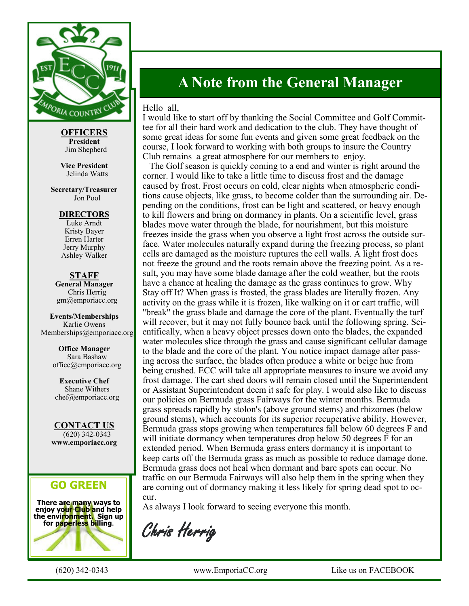

**OFFICERS President** Jim Shepherd

**Vice President** Jelinda Watts

**Secretary/Treasurer** Jon Pool

> **DIRECTORS** Luke Arndt

Kristy Bayer Erren Harter Jerry Murphy Ashley Walker

**STAFF General Manager** Chris Herrig gm@emporiacc.org

**Events/Memberships** Karlie Owens Memberships@emporiacc.org

> **Office Manager** Sara Bashaw office@emporiacc.org

**Executive Chef** Shane Withers chef@emporiacc.org

**CONTACT US** (620) 342-0343 **www.emporiacc.org**

### **GO GREEN**

**There are many ways to enjoy your Club and help the environment. Sign up for paperless billing**.



## **A Note from the General Manager**

#### Hello all,

I would like to start off by thanking the Social Committee and Golf Committee for all their hard work and dedication to the club. They have thought of some great ideas for some fun events and given some great feedback on the course, I look forward to working with both groups to insure the Country Club remains a great atmosphere for our members to enjoy.

 The Golf season is quickly coming to a end and winter is right around the corner. I would like to take a little time to discuss frost and the damage caused by frost. Frost occurs on cold, clear nights when atmospheric conditions cause objects, like grass, to become colder than the surrounding air. Depending on the conditions, frost can be light and scattered, or heavy enough to kill flowers and bring on dormancy in plants. On a scientific level, grass blades move water through the blade, for nourishment, but this moisture freezes inside the grass when you observe a light frost across the outside surface. Water molecules naturally expand during the freezing process, so plant cells are damaged as the moisture ruptures the cell walls. A light frost does not freeze the ground and the roots remain above the freezing point. As a result, you may have some blade damage after the cold weather, but the roots have a chance at healing the damage as the grass continues to grow. Why Stay off It? When grass is frosted, the grass blades are literally frozen. Any activity on the grass while it is frozen, like walking on it or cart traffic, will "break" the grass blade and damage the core of the plant. Eventually the turf will recover, but it may not fully bounce back until the following spring. Scientifically, when a heavy object presses down onto the blades, the expanded water molecules slice through the grass and cause significant cellular damage to the blade and the core of the plant. You notice impact damage after passing across the surface, the blades often produce a white or beige hue from being crushed. ECC will take all appropriate measures to insure we avoid any frost damage. The cart shed doors will remain closed until the Superintendent or Assistant Superintendent deem it safe for play. I would also like to discuss our policies on Bermuda grass Fairways for the winter months. Bermuda grass spreads rapidly by stolon's (above ground stems) and rhizomes (below ground stems), which accounts for its superior recuperative ability. However, Bermuda grass stops growing when temperatures fall below 60 degrees F and will initiate dormancy when temperatures drop below 50 degrees F for an extended period. When Bermuda grass enters dormancy it is important to keep carts off the Bermuda grass as much as possible to reduce damage done. Bermuda grass does not heal when dormant and bare spots can occur. No traffic on our Bermuda Fairways will also help them in the spring when they are coming out of dormancy making it less likely for spring dead spot to occur.

As always I look forward to seeing everyone this month.

Chris Herrig

(620) 342-0343 www.EmporiaCC.org Like us on FACEBOOK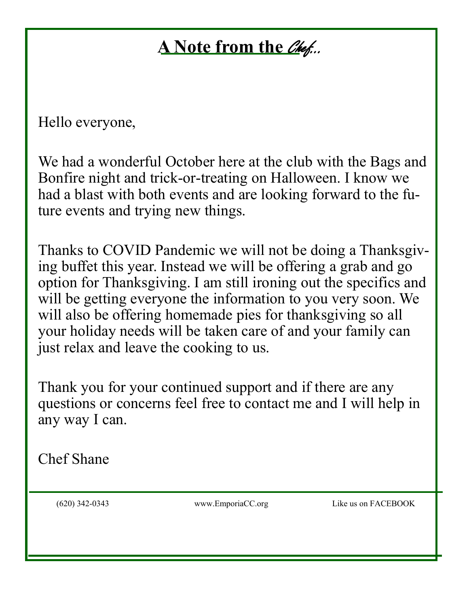# **A** Note from the *Chef...*

Hello everyone,

We had a wonderful October here at the club with the Bags and Bonfire night and trick-or-treating on Halloween. I know we had a blast with both events and are looking forward to the future events and trying new things.

Thanks to COVID Pandemic we will not be doing a Thanksgiving buffet this year. Instead we will be offering a grab and go option for Thanksgiving. I am still ironing out the specifics and will be getting everyone the information to you very soon. We will also be offering homemade pies for thanksgiving so all your holiday needs will be taken care of and your family can just relax and leave the cooking to us.

Thank you for your continued support and if there are any questions or concerns feel free to contact me and I will help in any way I can.

Chef Shane

(620) 342-0343 www.EmporiaCC.org Like us on FACEBOOK